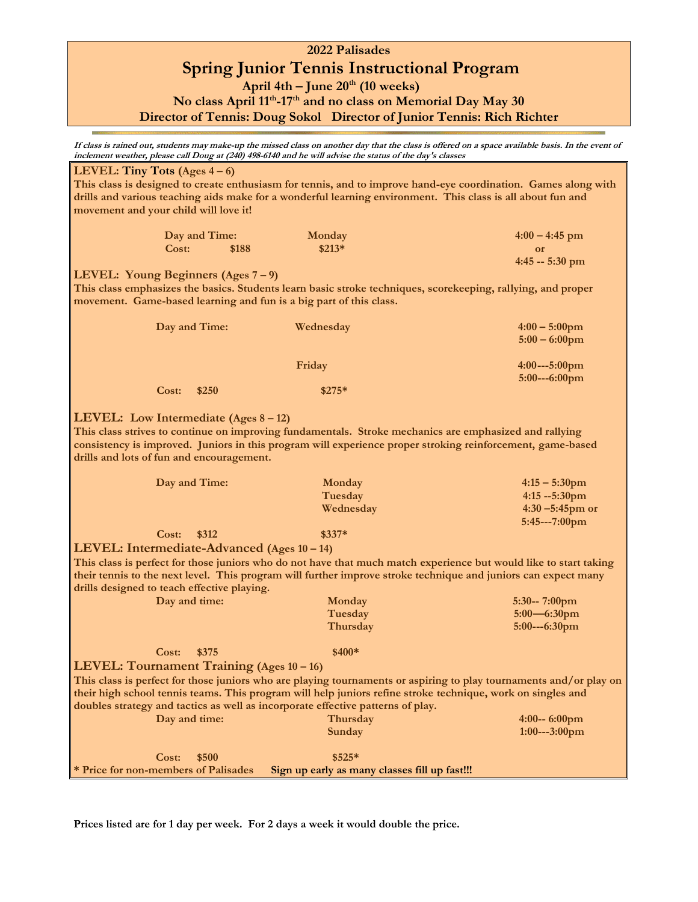## **2022 Palisades Spring Junior Tennis Instructional Program April 4th – June 20th (10 weeks) No class April 11th -17th and no class on Memorial Day May 30**

**Director of Tennis: Doug Sokol Director of Junior Tennis: Rich Richter**

**If class is rained out, students may make-up the missed class on another day that the class is offered on a space available basis. In the event of inclement weather, please call Doug at (240) 498-6140 and he will advise the status of the day's classes**

## **LEVEL: Tiny Tots (Ages 4 – 6) This class is designed to create enthusiasm for tennis, and to improve hand-eye coordination. Games along with drills and various teaching aids make for a wonderful learning environment. This class is all about fun and movement and your child will love it! Day and Time:** Monday 4:00 – 4:45 **pm Cost:** \$188 \$213\* **contract of the Cost:** \$188 \$213\* **or 4:45 -- 5:30 pm LEVEL: Young Beginners (Ages 7 – 9) This class emphasizes the basics. Students learn basic stroke techniques, scorekeeping, rallying, and proper movement. Game-based learning and fun is a big part of this class. Day and Time:** Wednesday **4:00 –** 5:00pm  **5:00 – 6:00pm Friday** 4:00---5:00pm  **5:00---6:00pm Cost: \$250 \$275\*** \$275\* **LEVEL: Low Intermediate (Ages 8 – 12) This class strives to continue on improving fundamentals. Stroke mechanics are emphasized and rallying consistency is improved. Juniors in this program will experience proper stroking reinforcement, game-based drills and lots of fun and encouragement. Day and Time: Monday 4:15 – 5:30pm Tuesday 4:15 --5:30pm Wednesday 4:30 –5:45pm or 5:45---7:00pm Cost: \$312 \$337\* LEVEL: Intermediate-Advanced (Ages 10 – 14) This class is perfect for those juniors who do not have that much match experience but would like to start taking their tennis to the next level. This program will further improve stroke technique and juniors can expect many drills designed to teach effective playing. Day and time:** Monday 5:30--<sup>7:00</sup>pm  **Tuesday 5:00—6:30pm Thursday 5:00---6:30pm Cost: \$375 \$400\* LEVEL: Tournament Training (Ages 10 – 16) This class is perfect for those juniors who are playing tournaments or aspiring to play tournaments and/or play on their high school tennis teams. This program will help juniors refine stroke technique, work on singles and doubles strategy and tactics as well as incorporate effective patterns of play. Day and time: Thursday 4:00-- 6:00pm Sunday 1:00---3:00pm Cost: \$500 \$525\***

**\* Price for non-members of Palisades Sign up early as many classes fill up fast!!!** 

**Prices listed are for 1 day per week. For 2 days a week it would double the price.**